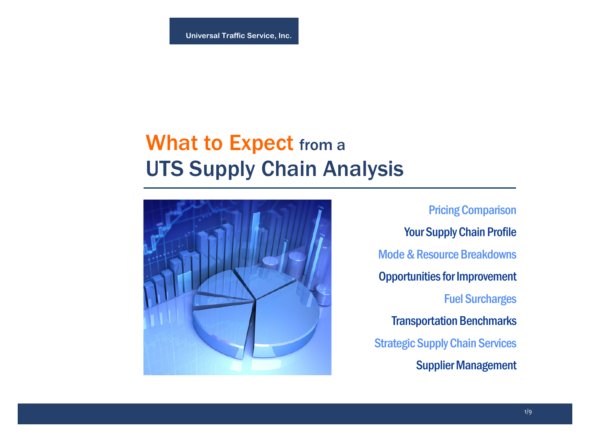# What to Expect from a UTS Supply Chain Analysis



Pricing Comparison Your Supply Chain Profile Mode & Resource Breakdowns Opportunities for Improvement Fuel Surcharges Transportation Benchmarks Strategic Supply Chain Services Supplier Management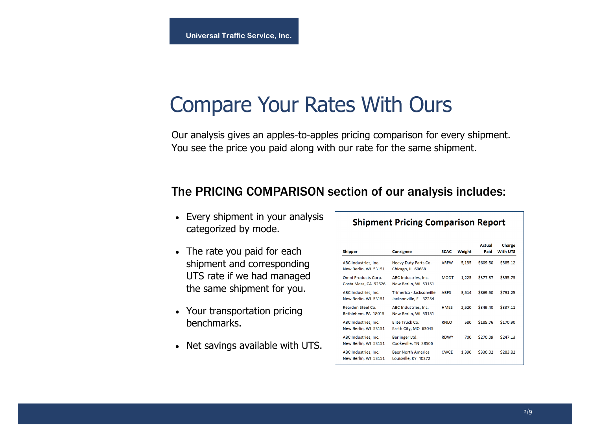## Compare Your Rates With Ours

Our analysis gives an apples-to-apples pricing comparison for every shipment. You see the price you paid along with our rate for the same shipment.

### The PRICING COMPARISON section of our analysis includes:

- Every shipment in your analysis categorized by mode.
- The rate you paid for each shipment and corresponding UTS rate if we had managed the same shipment for you.
- Your transportation pricing benchmarks.
- Net savings available with UTS.

|                                              |                                                    |             |        | Actual   | Charge          |
|----------------------------------------------|----------------------------------------------------|-------------|--------|----------|-----------------|
| <b>Shipper</b>                               | <b>Consignee</b>                                   | <b>SCAC</b> | Weight | Paid     | <b>With UTS</b> |
| ABC Industries, Inc.<br>New Berlin, WI 53151 | Heavy Duty Parts Co.<br>Chicago, IL 60688          | <b>ARFW</b> | 5,135  | \$609.50 | \$585.12        |
| Omni Products Corp.<br>Costa Mesa, CA 92626  | ABC Industries, Inc.<br>New Berlin, WI 53151       | <b>MODT</b> | 1.225  | \$377.87 | \$355.73        |
| ABC Industries, Inc.<br>New Berlin, WI 53151 | Trimerica - Jacksonville<br>Jacksonville, FL 32254 | <b>ABFS</b> | 3,514  | \$869.50 | \$791.25        |
| Rearden Steel Co.<br>Bethlehem, PA 18015     | ABC Industries, Inc.<br>New Berlin, WI 53151       | <b>HMFS</b> | 2,520  | \$349.40 | \$337.11        |
| ABC Industries, Inc.<br>New Berlin, WI 53151 | Elite Truck Co.<br>Earth City, MO 63045            | <b>RNLO</b> | 580    | \$185.76 | \$170.90        |
| ABC Industries, Inc.<br>New Berlin, WI 53151 | Berlinger Ltd.<br>Cookeville, TN 38506             | <b>RDWY</b> | 700    | \$270.09 | \$247.13        |
| ABC Industries, Inc.<br>New Berlin, WI 53151 | <b>Baer North America</b><br>Louisville, KY 40272  | <b>CWCF</b> | 1,390  | \$330.02 | \$283.82        |

#### **Shipment Pricing Comparison Report**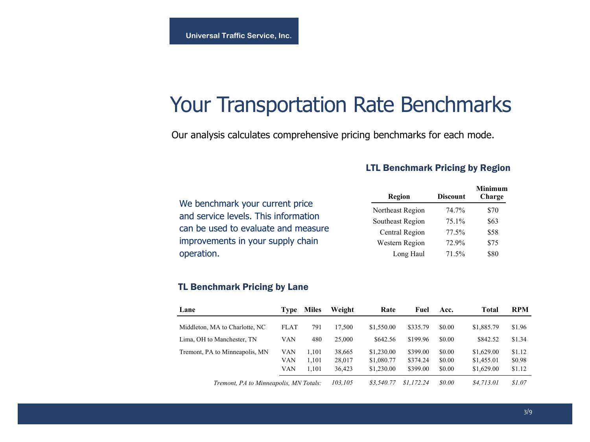## Your Transportation Rate Benchmarks

Our analysis calculates comprehensive pricing benchmarks for each mode.

### LTL Benchmark Pricing by Region

\$70 \$63 \$58 \$75 \$80

**Minimum Charge** 

|                                      | Region           | <b>Discount</b> |  |
|--------------------------------------|------------------|-----------------|--|
| We benchmark your current price      | Northeast Region | 74.7%           |  |
| and service levels. This information | Southeast Region | 75.1%           |  |
| can be used to evaluate and measure  | Central Region   | 77.5%           |  |
| improvements in your supply chain    | Western Region   | 72.9%           |  |
| operation.                           | Long Haul        | 71.5%           |  |

### TL Benchmark Pricing by Lane

| Lane                                   | Type        | <b>Miles</b> | Weight  | Rate       | Fuel       | Acc.         | Total      | <b>RPM</b> |
|----------------------------------------|-------------|--------------|---------|------------|------------|--------------|------------|------------|
| Middleton, MA to Charlotte, NC         | <b>FLAT</b> | 791          | 17.500  | \$1,550.00 | \$335.79   | \$0.00       | \$1,885.79 | \$1.96     |
| Lima, OH to Manchester, TN             | VAN         | 480          | 25,000  | \$642.56   | \$199.96   | \$0.00       | \$842.52   | \$1.34     |
| Tremont, PA to Minneapolis, MN         | VAN         | 1.101        | 38,665  | \$1,230.00 | \$399.00   | \$0.00       | \$1,629.00 | \$1.12     |
|                                        | VAN         | 1.101        | 28,017  | \$1,080.77 | \$374.24   | \$0.00       | \$1,455.01 | \$0.98     |
|                                        | VAN         | 1.101        | 36,423  | \$1,230.00 | \$399.00   | \$0.00       | \$1,629.00 | \$1.12     |
| Tremont, PA to Minneapolis, MN Totals: |             |              | 103,105 | \$3.540.77 | \$1.172.24 | <i>so.oo</i> | \$4.713.01 | \$1.07     |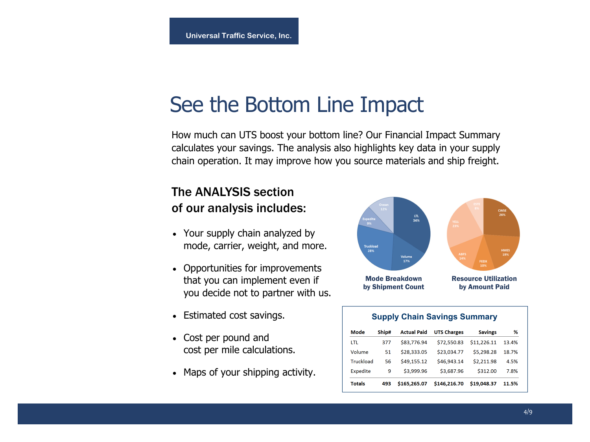## See the Bottom Line Impact

How much can UTS boost your bottom line? Our Financial Impact Summary calculates your savings. The analysis also highlights key data in your supply chain operation. It may improve how you source materials and ship freight.

## The ANALYSIS section of our analysis includes:

- Your supply chain analyzed by mode, carrier, weight, and more.
- Opportunities for improvements that you can implement even if you decide not to partner with us.
- Estimated cost savings.
- Cost per pound and cost per mile calculations.
- Maps of your shipping activity.



| <b>Supply Chain Savings Summary</b> |       |                    |                    |                |       |  |  |  |
|-------------------------------------|-------|--------------------|--------------------|----------------|-------|--|--|--|
| Mode                                | Ship# | <b>Actual Paid</b> | <b>UTS Charges</b> | <b>Savings</b> | %     |  |  |  |
| LTL                                 | 377   | \$83.776.94        | \$72,550.83        | \$11,226.11    | 13.4% |  |  |  |
| Volume                              | 51    | \$28,333.05        | \$23.034.77        | \$5.298.28     | 18.7% |  |  |  |
| Truckload                           | 56    | \$49.155.12        | \$46.943.14        | \$2.211.98     | 4.5%  |  |  |  |
| <b>Expedite</b>                     | 9     | \$3.999.96         | \$3,687.96         | \$312.00       | 7.8%  |  |  |  |
| Totals                              | 493   | \$165,265.07       | \$146.216.70       | \$19,048.37    | 11.5% |  |  |  |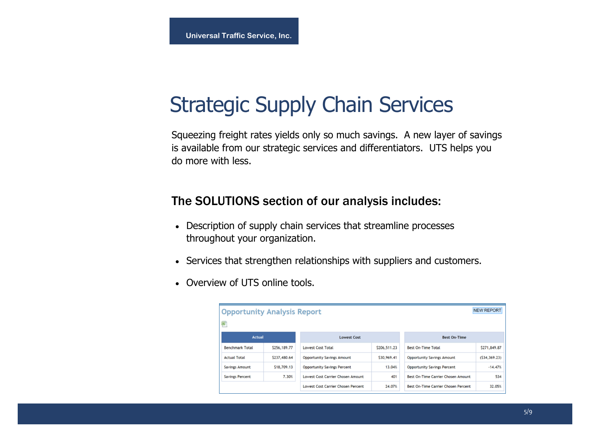# Strategic Supply Chain Services

Squeezing freight rates yields only so much savings. A new layer of savings is available from our strategic services and differentiators. UTS helps you do more with less.

### The SOLUTIONS section of our analysis includes:

- Description of supply chain services that streamline processes throughout your organization.
- Services that strengthen relationships with suppliers and customers.
- Overview of UTS online tools.

| <b>Opportunity Analysis Report</b> |              |                                           |              |                                            | <b>NEW REPORT</b> |  |
|------------------------------------|--------------|-------------------------------------------|--------------|--------------------------------------------|-------------------|--|
| 甸"                                 |              |                                           |              |                                            |                   |  |
| <b>Actual</b>                      |              | <b>Lowest Cost</b>                        |              | <b>Best On-Time</b>                        |                   |  |
| <b>Benchmark Total</b>             | \$256,189.77 | <b>Lowest Cost Total</b>                  | \$206,511.23 | <b>Best On-Time Total</b>                  | \$271,849.87      |  |
| <b>Actual Total</b>                | \$237,480.64 | <b>Opportunity Savings Amount</b>         | \$30,969.41  | <b>Opportunity Savings Amount</b>          | (534, 369.23)     |  |
| <b>Savings Amount</b>              | \$18,709.13  | <b>Opportunity Savings Percent</b>        | 13.04%       | <b>Opportunity Savings Percent</b>         | $-14.47%$         |  |
| <b>Savings Percent</b>             | 7.30%        | <b>Lowest Cost Carrier Chosen Amount</b>  | 401          | <b>Best On-Time Carrier Chosen Amount</b>  | 534               |  |
|                                    |              | <b>Lowest Cost Carrier Chosen Percent</b> | 24.07%       | <b>Best On-Time Carrier Chosen Percent</b> | 32.05%            |  |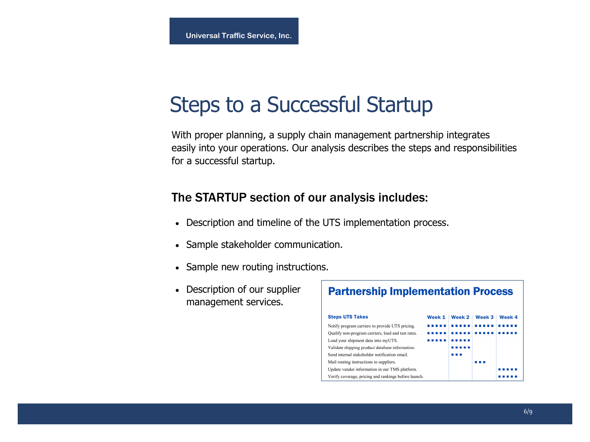## Steps to a Successful Startup

With proper planning, a supply chain management partnership integrates easily into your operations. Our analysis describes the steps and responsibilities for a successful startup.

### The STARTUP section of our analysis includes:

- Description and timeline of the UTS implementation process.
- Sample stakeholder communication.
- Sample new routing instructions.
- Description of our supplier management services.

| <b>Partnership Implementation Process</b>            |        |        |        |        |  |  |  |  |
|------------------------------------------------------|--------|--------|--------|--------|--|--|--|--|
| <b>Steps UTS Takes</b>                               | Week 1 | Week 2 | Week 3 | Week 4 |  |  |  |  |
| Notify program carriers to provide UTS pricing.      |        |        |        |        |  |  |  |  |
| Qualify non-program carriers; load and test rates.   |        |        |        |        |  |  |  |  |
| Load your shipment data into myUTS.                  |        |        |        |        |  |  |  |  |
| Validate shipping product database information.      |        |        |        |        |  |  |  |  |
| Send internal stakeholder notification email.        |        |        |        |        |  |  |  |  |
| Mail routing instructions to suppliers.              |        |        |        |        |  |  |  |  |
| Update vendor information in our TMS platform.       |        |        |        |        |  |  |  |  |
| Verify coverage, pricing and rankings before launch. |        |        |        |        |  |  |  |  |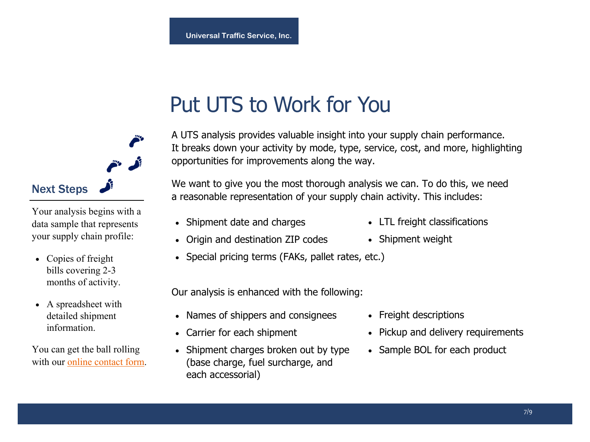# Put UTS to Work for You

A UTS analysis provides valuable insight into your supply chain performance. It breaks down your activity by mode, type, service, cost, and more, highlighting opportunities for improvements along the way.

We want to give you the most thorough analysis we can. To do this, we need a reasonable representation of your supply chain activity. This includes:

• Shipment date and charges

• Origin and destination ZIP codes

- LTL freight classifications
- Shipment weight
- Special pricing terms (FAKs, pallet rates, etc.)

Our analysis is enhanced with the following:

- Names of shippers and consignees
- Carrier for each shipment
- Shipment charges broken out by type (base charge, fuel surcharge, and each accessorial)
- Freight descriptions
- Pickup and delivery requirements
- Sample BOL for each product



Your analysis begins with a data sample that represents your supply chain profile:

- Copies of freight bills covering 2-3 months of activity.
- A spreadsheet with detailed shipment information.

You can get the ball rolling with ou[r online contact form.](http://www.utsnet.com/company/contact)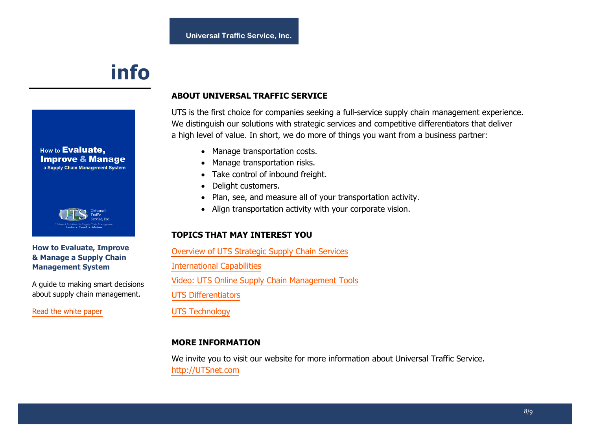## **info**





#### **How to Evaluate, Improve & Manage a Supply Chain Management System**

A guide to making smart decisions about supply chain management.

[Read the white paper](http://www.utsnet.com/media/files/default/Evaluate_Improve_Manage_a_TMS.pdf)

### **ABOUT UNIVERSAL TRAFFIC SERVICE**

UTS is the first choice for companies seeking a full-service supply chain management experience. We distinguish our solutions with strategic services and competitive differentiators that deliver a high level of value. In short, we do more of things you want from a business partner:

- Manage transportation costs.
- Manage transportation risks.
- Take control of inbound freight.
- Delight customers.
- Plan, see, and measure all of your transportation activity.
- Align transportation activity with your corporate vision.

#### **TOPICS THAT MAY INTEREST YOU**

[Overview of UTS Strategic Supply Chain Services](http://www.utsnet.com/media/files/default/UTS_Services.pdf)  [International Capabilities](http://www.utsnet.com/media/files/default/International_Capabilities.pdf) 

[Video: UTS Online Supply Chain Management Tools](http://www.utsnet.com//uts-online-supply-chain-tools-video) 

[UTS Differentiators](http://www.utsnet.com/why-uts/uts-differentiators) 

[UTS Technology](http://www.utsnet.com/why-uts/uts-technology) 

#### **MORE INFORMATION**

We invite you to visit our website for more information about Universal Traffic Service. [http://UTSnet.com](http://www.utsnet.com/)